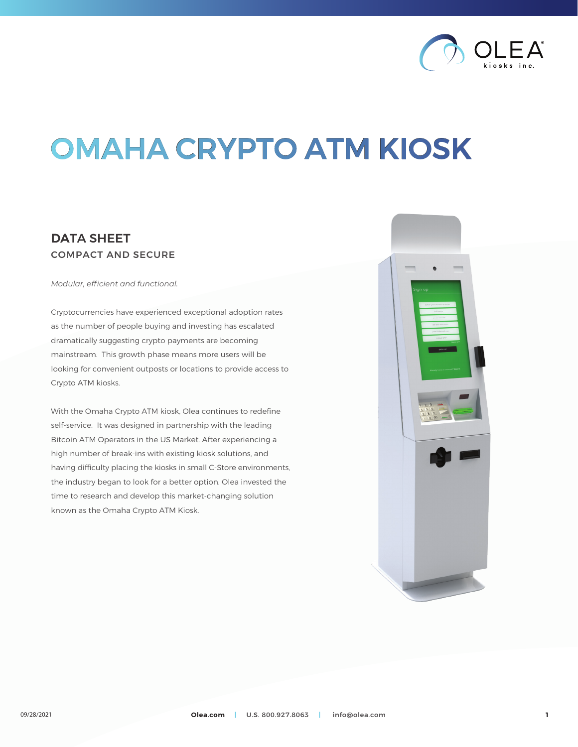

# OMAHA CRYPTO ATM KIOSK

## DATA SHEET COMPACT AND SECURE

*Modular, efficient and functional.*

Cryptocurrencies have experienced exceptional adoption rates as the number of people buying and investing has escalated dramatically suggesting crypto payments are becoming mainstream. This growth phase means more users will be looking for convenient outposts or locations to provide access to Crypto ATM kiosks.

With the Omaha Crypto ATM kiosk, Olea continues to redefine self-service. It was designed in partnership with the leading Bitcoin ATM Operators in the US Market. After experiencing a high number of break-ins with existing kiosk solutions, and having difficulty placing the kiosks in small C-Store environments, the industry began to look for a better option. Olea invested the time to research and develop this market-changing solution known as the Omaha Crypto ATM Kiosk.

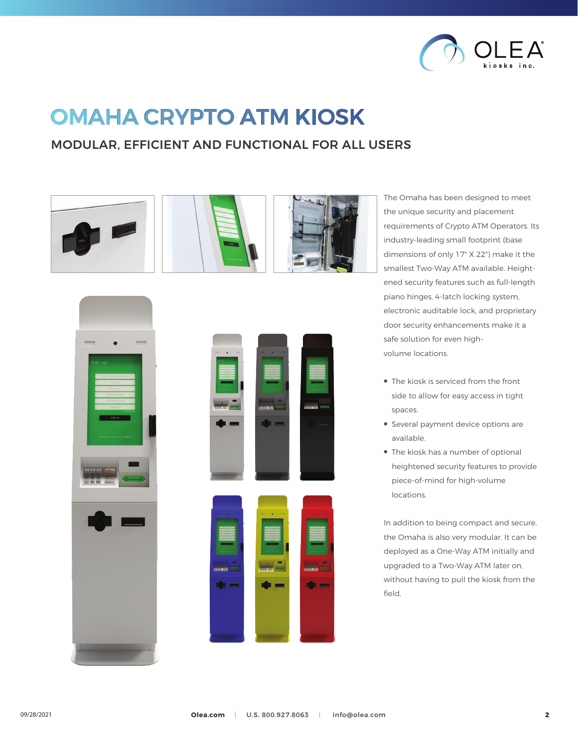

## OMAHA CRYPTO ATM KIOSK

## MODULAR, EFFICIENT AND FUNCTIONAL FOR ALL USERS







The Omaha has been designed to meet the unique security and placement requirements of Crypto ATM Operators. Its industry-leading small footprint (base dimensions of only 17" X 22") make it the smallest Two-Way ATM available. Heightened security features such as full-length piano hinges, 4-latch locking system, electronic auditable lock, and proprietary door security enhancements make it a safe solution for even highvolume locations.

- The kiosk is serviced from the front side to allow for easy access in tight spaces.
- Several payment device options are • available.
- The kiosk has a number of optional • heightened security features to provide • piece-of-mind for high-volume locations.

In addition to being compact and secure, the Omaha is also very modular. It can be deployed as a One-Way ATM initially and upgraded to a Two-Way ATM later on, without having to pull the kiosk from the field.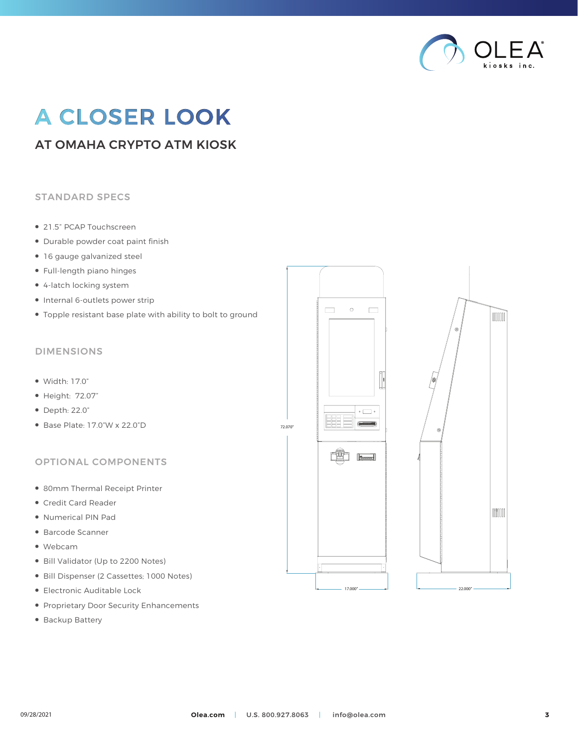

## A CLOSER LOOK

## AT OMAHA CRYPTO ATM KIOSK

#### STANDARD SPECS

- 21.5" PCAP Touchscreen
- Durable powder coat paint finish
- 16 gauge galvanized steel
- Full-length piano hinges
- 4-latch locking system
- Internal 6-outlets power strip
- Topple resistant base plate with ability to bolt to ground

#### DIMENSIONS

- Width: 17.0"
- Height: 72.07"
- Depth: 22.0"
- Base Plate: 17.0"W x 22.0"D

#### OPTIONAL COMPONENTS

- 80mm Thermal Receipt Printer
- Credit Card Reader
- Numerical PIN Pad
- Barcode Scanner
- Webcam
- Bill Validator (Up to 2200 Notes)
- Bill Dispenser (2 Cassettes; 1000 Notes)
- Electronic Auditable Lock
- Proprietary Door Security Enhancements
- Backup Battery